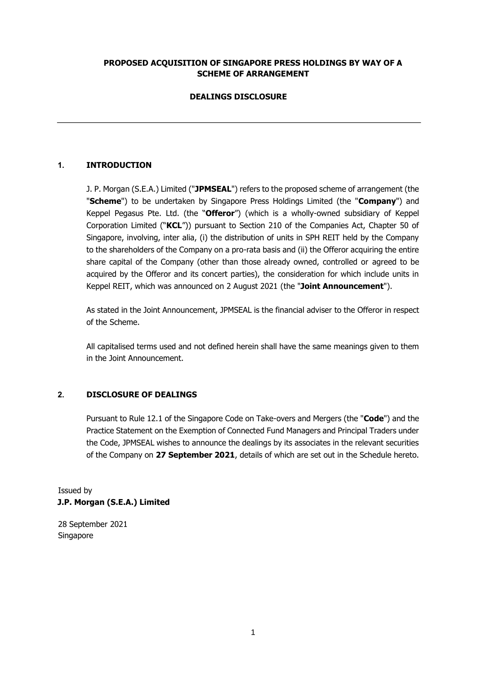### **PROPOSED ACQUISITION OF SINGAPORE PRESS HOLDINGS BY WAY OF A SCHEME OF ARRANGEMENT**

# **DEALINGS DISCLOSURE**

# **1. INTRODUCTION**

J. P. Morgan (S.E.A.) Limited ("**JPMSEAL**") refers to the proposed scheme of arrangement (the "**Scheme**") to be undertaken by Singapore Press Holdings Limited (the "**Company**") and Keppel Pegasus Pte. Ltd. (the "**Offeror**") (which is a wholly-owned subsidiary of Keppel Corporation Limited ("**KCL**")) pursuant to Section 210 of the Companies Act, Chapter 50 of Singapore, involving, inter alia, (i) the distribution of units in SPH REIT held by the Company to the shareholders of the Company on a pro-rata basis and (ii) the Offeror acquiring the entire share capital of the Company (other than those already owned, controlled or agreed to be acquired by the Offeror and its concert parties), the consideration for which include units in Keppel REIT, which was announced on 2 August 2021 (the "**Joint Announcement**").

As stated in the Joint Announcement, JPMSEAL is the financial adviser to the Offeror in respect of the Scheme.

All capitalised terms used and not defined herein shall have the same meanings given to them in the Joint Announcement.

### **2. DISCLOSURE OF DEALINGS**

Pursuant to Rule 12.1 of the Singapore Code on Take-overs and Mergers (the "**Code**") and the Practice Statement on the Exemption of Connected Fund Managers and Principal Traders under the Code, JPMSEAL wishes to announce the dealings by its associates in the relevant securities of the Company on **27 September 2021**, details of which are set out in the Schedule hereto.

Issued by **J.P. Morgan (S.E.A.) Limited** 

28 September 2021 Singapore